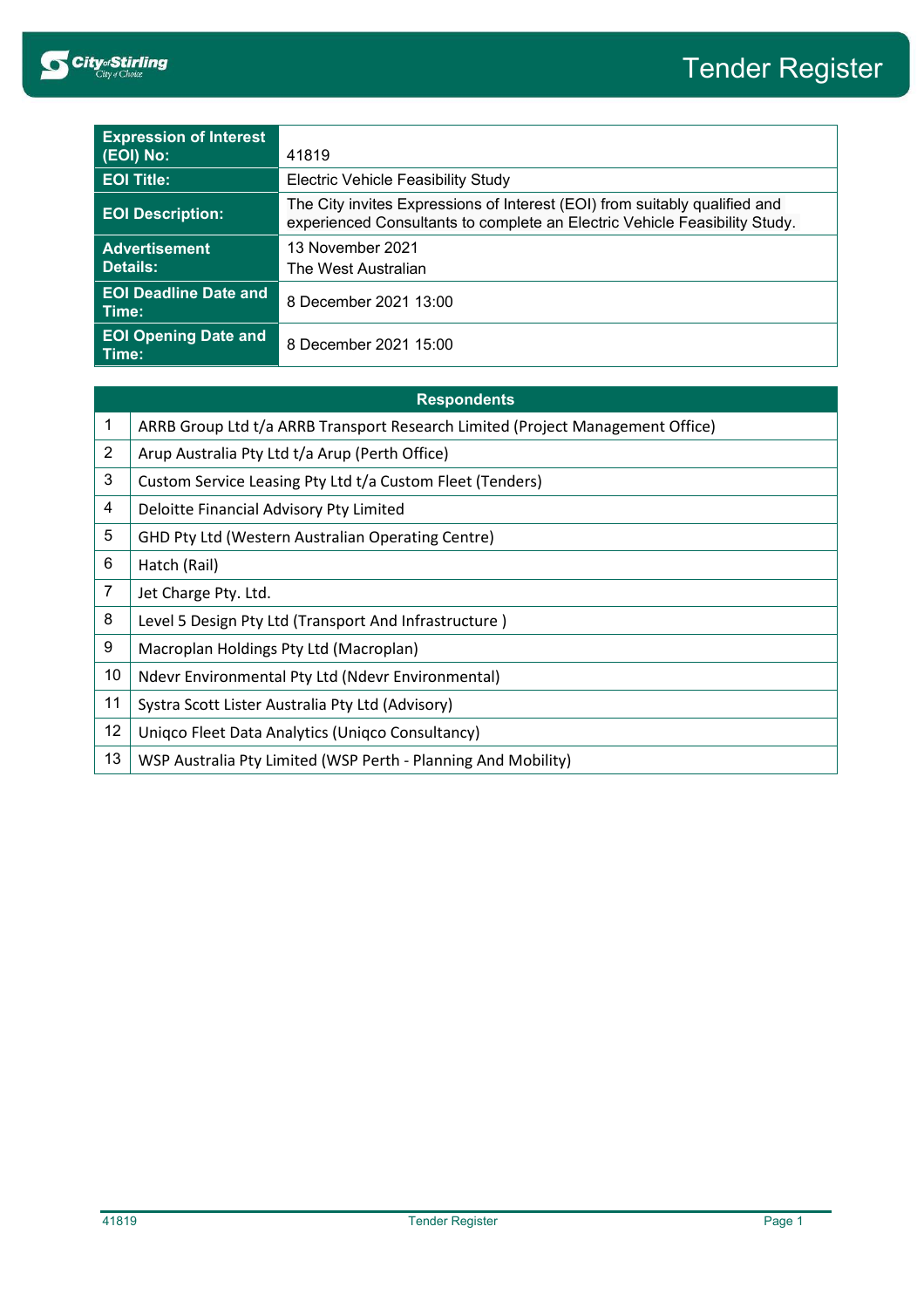

| <b>Expression of Interest</b><br>(EOI) No: | 41819                                                                                                                                                    |  |
|--------------------------------------------|----------------------------------------------------------------------------------------------------------------------------------------------------------|--|
| <b>EOI Title:</b>                          | <b>Electric Vehicle Feasibility Study</b>                                                                                                                |  |
| <b>EOI Description:</b>                    | The City invites Expressions of Interest (EOI) from suitably qualified and<br>experienced Consultants to complete an Electric Vehicle Feasibility Study. |  |
| <b>Advertisement</b><br>Details:           | 13 November 2021<br>The West Australian                                                                                                                  |  |
| <b>EOI Deadline Date and</b><br>Time:      | 8 December 2021 13:00                                                                                                                                    |  |
| <b>EOI Opening Date and</b><br>Time:       | 8 December 2021 15:00                                                                                                                                    |  |

| <b>Respondents</b> |                                                                                |  |
|--------------------|--------------------------------------------------------------------------------|--|
| 1                  | ARRB Group Ltd t/a ARRB Transport Research Limited (Project Management Office) |  |
| $\overline{2}$     | Arup Australia Pty Ltd t/a Arup (Perth Office)                                 |  |
| 3                  | Custom Service Leasing Pty Ltd t/a Custom Fleet (Tenders)                      |  |
| 4                  | Deloitte Financial Advisory Pty Limited                                        |  |
| 5                  | GHD Pty Ltd (Western Australian Operating Centre)                              |  |
| 6                  | Hatch (Rail)                                                                   |  |
| $\overline{7}$     | Jet Charge Pty. Ltd.                                                           |  |
| 8                  | Level 5 Design Pty Ltd (Transport And Infrastructure)                          |  |
| 9                  | Macroplan Holdings Pty Ltd (Macroplan)                                         |  |
| 10                 | Ndevr Environmental Pty Ltd (Ndevr Environmental)                              |  |
| 11                 | Systra Scott Lister Australia Pty Ltd (Advisory)                               |  |
| 12                 | Unigco Fleet Data Analytics (Unigco Consultancy)                               |  |
| 13                 | WSP Australia Pty Limited (WSP Perth - Planning And Mobility)                  |  |